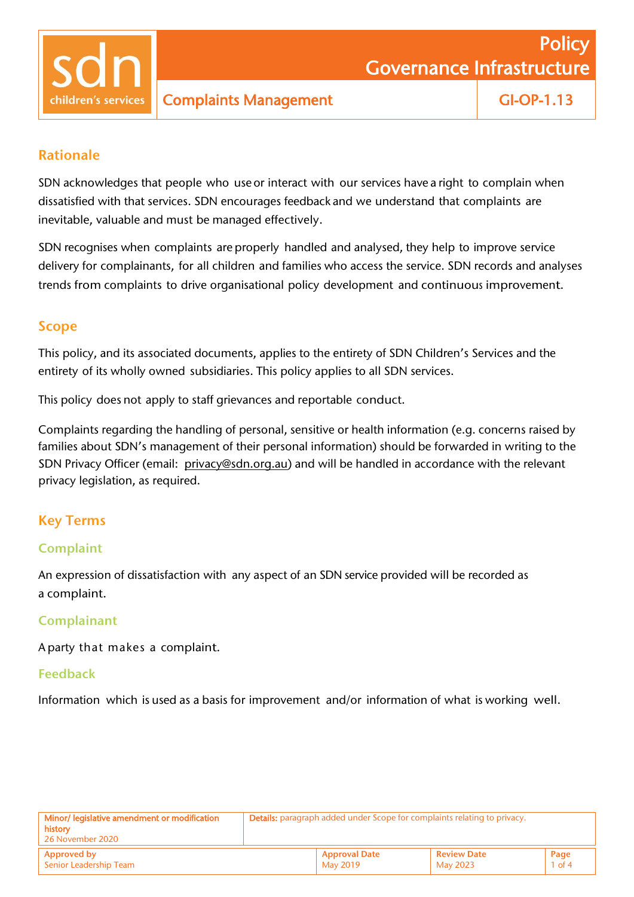children's services

### Rationale

SDN acknowledges that people who use or interact with our services have a right to complain when dissatisfied with that services. SDN encourages feedback and we understand that complaints are inevitable, valuable and must be managed effectively.

SDN recognises when complaints are properly handled and analysed, they help to improve service delivery for complainants, for all children and families who access the service. SDN records and analyses trends from complaints to drive organisational policy development and continuous improvement.

### Scope

This policy, and its associated documents, applies to the entirety of SDN Children's Services and the entirety of its wholly owned subsidiaries. This policy applies to all SDN services.

This policy does not apply to staff grievances and reportable conduct.

Complaints regarding the handling of personal, sensitive or health information (e.g. concerns raised by families about SDN's management of their personal information) should be forwarded in writing to the SDN Privacy Officer (email: [privacy@sdn.org.au\)](mailto:%20privacy@sdn.org.au) and will be handled in accordance with the relevant privacy legislation, as required.

## Key Terms

### **Complaint**

An expression of dissatisfaction with any aspect of an SDN service provided will be recorded as a complaint.

#### **Complainant**

A party that makes a complaint.

#### Feedback

Information which is used as a basis for improvement and/or information of what is working well.

| Minor/ legislative amendment or modification | <b>Details:</b> paragraph added under Scope for complaints relating to privacy. |  |                         |                  |
|----------------------------------------------|---------------------------------------------------------------------------------|--|-------------------------|------------------|
| history .                                    |                                                                                 |  |                         |                  |
| 26 November 2020                             |                                                                                 |  |                         |                  |
| <b>Approved by</b><br>Senior Leadership Team | <b>Approval Date</b><br>May 2019                                                |  | Review Date<br>May 2023 | Page<br>$1$ of 4 |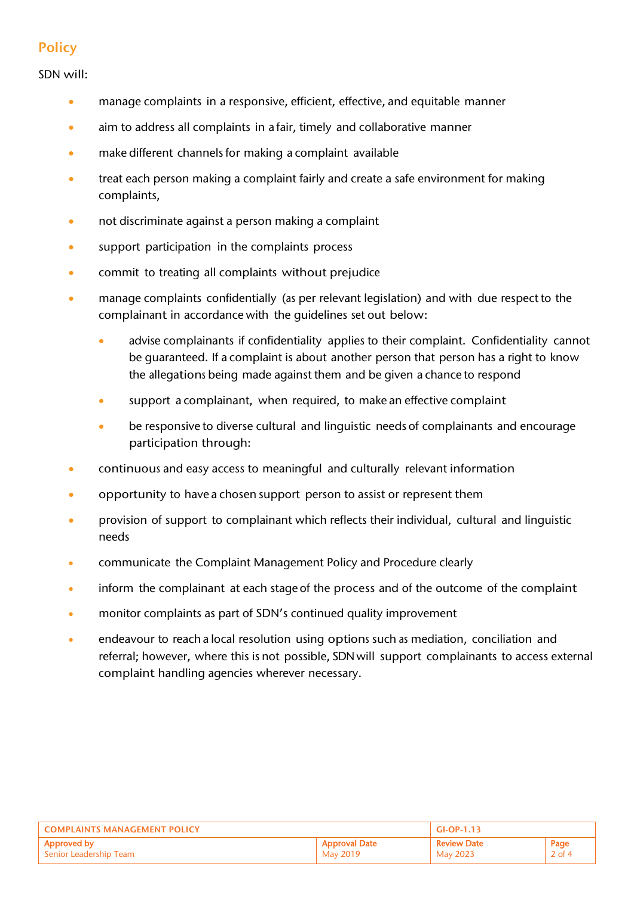# **Policy**

SDN will:

- manage complaints in a responsive, efficient, effective, and equitable manner
- aim to address all complaints in a fair, timely and collaborative manner
- make different channels for making a complaint available
- treat each person making a complaint fairly and create a safe environment for making complaints,
- not discriminate against a person making a complaint
- support participation in the complaints process
- commit to treating all complaints without prejudice
- manage complaints confidentially (as per relevant legislation) and with due respect to the complainant in accordance with the guidelines set out below:
	- advise complainants if confidentiality applies to their complaint. Confidentiality cannot be guaranteed. If a complaint is about another person that person has a right to know the allegations being made against them and be given a chance to respond
	- support a complainant, when required, to make an effective complaint
	- be responsive to diverse cultural and linguistic needs of complainants and encourage participation through:
- continuous and easy access to meaningful and culturally relevant information
- opportunity to have a chosen support person to assist or represent them
- provision of support to complainant which reflects their individual, cultural and linguistic needs
- communicate the Complaint Management Policy and Procedure clearly
- inform the complainant at each stage of the process and of the outcome of the complaint
- monitor complaints as part of SDN's continued quality improvement
- endeavour to reach a local resolution using options such as mediation, conciliation and referral; however, where this is not possible, SDN will support complainants to access external complaint handling agencies wherever necessary.

| <b>COMPLAINTS MANAGEMENT POLICY</b> |                      | $GI-OP-1.13$       |          |
|-------------------------------------|----------------------|--------------------|----------|
| Approved by                         | <b>Approval Date</b> | <b>Review Date</b> | Page     |
| Senior Leadership Team              | May 2019             | May 2023           | $2$ of 4 |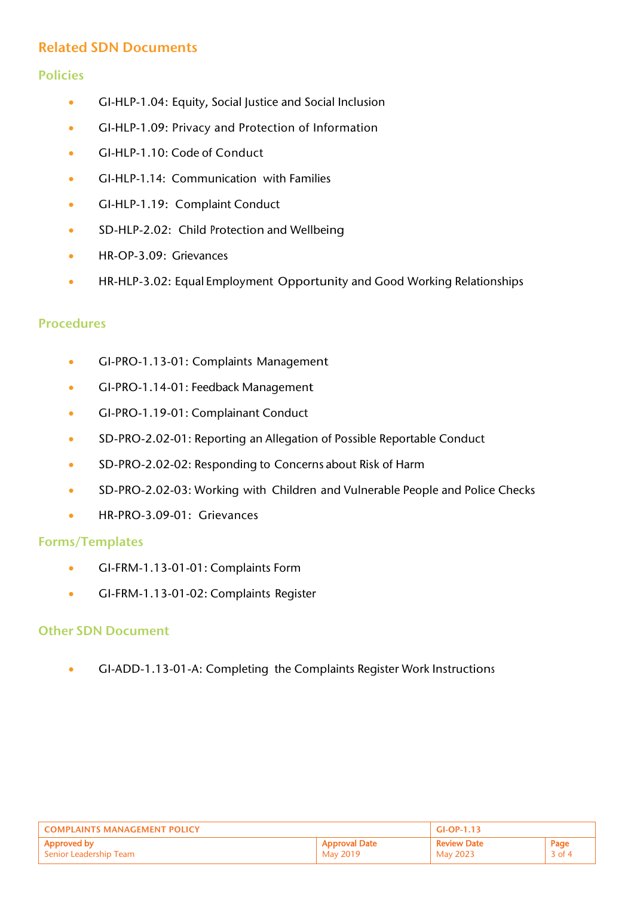## Related SDN Documents

### Policies

- GI-HLP-1.04: Equity, Social Justice and Social Inclusion
- GI-HLP-1.09: Privacy and Protection of Information
- GI-HLP-1.10: Code of Conduct
- GI-HLP-1.14: Communication with Families
- GI-HLP-1.19: Complaint Conduct
- SD-HLP-2.02: Child Protection and Wellbeing
- HR-OP-3.09: Grievances
- HR-HLP-3.02: Equal Employment Opportunity and Good Working Relationships

### Procedures

- GI-PRO-1.13-01: Complaints Management
- GI-PRO-1.14-01: Feedback Management
- GI-PRO-1.19-01: Complainant Conduct
- SD-PRO-2.02-01: Reporting an Allegation of Possible Reportable Conduct
- SD-PRO-2.02-02: Responding to Concerns about Risk of Harm
- SD-PRO-2.02-03: Working with Children and Vulnerable People and Police Checks
- HR-PRO-3.09-01: Grievances

#### Forms/Templates

- GI-FRM-1.13-01-01: Complaints Form
- GI-FRM-1.13-01-02: Complaints Register

#### Other SDN Document

• GI-ADD-1.13-01-A: Completing the Complaints Register Work Instructions

| <b>COMPLAINTS MANAGEMENT POLICY</b> |                      | $GI-OP-1.13$       |          |
|-------------------------------------|----------------------|--------------------|----------|
| Approved by                         | <b>Approval Date</b> | <b>Review Date</b> | Page     |
| Senior Leadership Team              | May 2019             | May 2023           | $3$ of 4 |